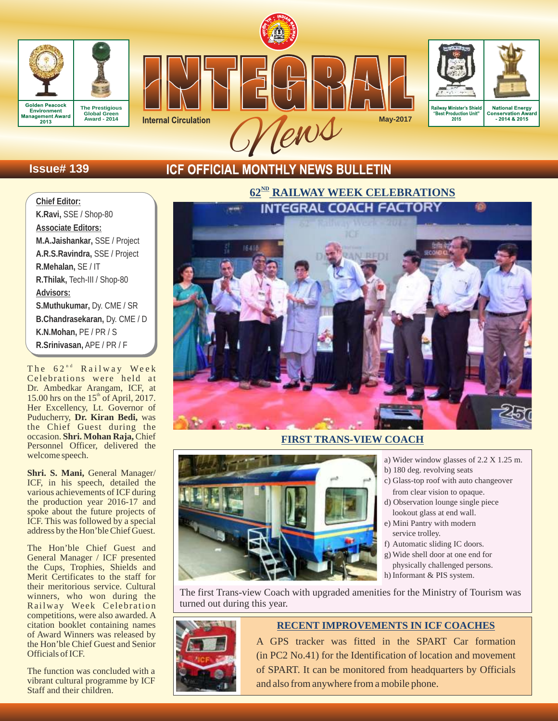





## **Issue# 139**

## **ICF OFFICIAL MONTHLY NEWS BULLETIN**

## **Chief Editor:**

**K.Ravi,** SSE / Shop-80 **Associate Editors: M.A.Jaishankar,** SSE / Project **A.R.S.Ravindra,** SSE / Project **R.Mehalan,** SE / IT **R.Thilak,** Tech-III / Shop-80 **Advisors: S.Muthukumar,** Dy. CME / SR **B.Chandrasekaran,** Dy. CME / D **K.N.Mohan,** PE / PR / S

**R.Srinivasan,** APE / PR / F

The  $62^{\text{nd}}$  Railway Week Celebrations were held at Dr. Ambedkar Arangam, ICF, at 15.00 hrs on the  $15<sup>th</sup>$  of April, 2017. Her Excellency, Lt. Governor of Puducherry, **Dr. Kiran Bedi,** was the Chief Guest during the occasion. **Shri. Mohan Raja,** Chief Personnel Officer, delivered the welcome speech.

**Shri. S. Mani,** General Manager/ ICF, in his speech, detailed the various achievements of ICF during the production year 2016-17 and spoke about the future projects of ICF. This was followed by a special address by the Hon'ble Chief Guest.

The Hon'ble Chief Guest and General Manager / ICF presented the Cups, Trophies, Shields and Merit Certificates to the staff for their meritorious service. Cultural winners, who won during the Railway Week Celebration competitions, were also awarded. A citation booklet containing names of Award Winners was released by the Hon'ble Chief Guest and Senior Officials of ICF.

The function was concluded with a vibrant cultural programme by ICF Staff and their children.

# $62^{\text{ND}}$  **RAILWAY WEEK CELEBRATIONS**



## **FIRST TRANS-VIEW COACH**



- a) Wider window glasses of 2.2 X 1.25 m.
- b) 180 deg. revolving seats
- c) Glass-top roof with auto changeover from clear vision to opaque.
- d) Observation lounge single piece lookout glass at end wall.
- e) Mini Pantry with modern service trolley.
- f) Automatic sliding IC doors.
- g) Wide shell door at one end for physically challenged persons.
- h) Informant & PIS system.

The first Trans-view Coach with upgraded amenities for the Ministry of Tourism was turned out during this year.



## **RECENT IMPROVEMENTS IN ICF COACHES**

A GPS tracker was fitted in the SPART Car formation (in PC2 No.41) for the Identification of location and movement of SPART. It can be monitored from headquarters by Officials and also from anywhere from a mobile phone.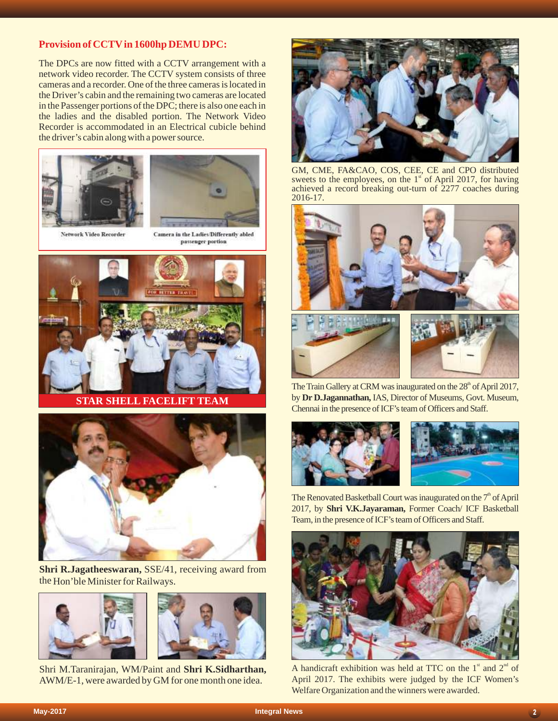## **Provision of CCTVin 1600hp DEMU DPC:**

The DPCs are now fitted with a CCTV arrangement with a network video recorder. The CCTV system consists of three cameras and a recorder. One of the three cameras is located in the Driver's cabin and the remaining two cameras are located in the Passenger portions of the DPC; there is also one each in the ladies and the disabled portion. The Network Video Recorder is accommodated in an Electrical cubicle behind the driver's cabin along with a power source.





Network Video Recorder

Camera in the Ladies/Differently abled passenger portion



**STAR SHELL FACELIFT TEAM**



**Shri R.Jagatheeswaran,** SSE/41, receiving award from the Hon'ble Minister for Railways.





Shri M.Taranirajan, WM/Paint and **Shri K.Sidharthan,**  AWM/E-1, were awarded by GM for one month one idea.



GM, CME, FA&CAO, COS, CEE, CE and CPO distributed sweets to the employees, on the  $1<sup>*</sup>$  of April 2017, for having achieved a record breaking out-turn of 2277 coaches during 2016-17.





The Train Gallery at CRM was inaugurated on the 28<sup>th</sup> of April 2017, by **Dr D.Jagannathan,** IAS, Director of Museums, Govt. Museum, Chennai in the presence of ICF's team of Officers and Staff.



The Renovated Basketball Court was inaugurated on the  $7<sup>th</sup>$  of April 2017, by **Shri V.K.Jayaraman,** Former Coach/ ICF Basketball Team, in the presence of ICF's team of Officers and Staff.



A handicraft exhibition was held at TTC on the  $1<sup>st</sup>$  and  $2<sup>nd</sup>$  of April 2017. The exhibits were judged by the ICF Women's Welfare Organization and the winners were awarded.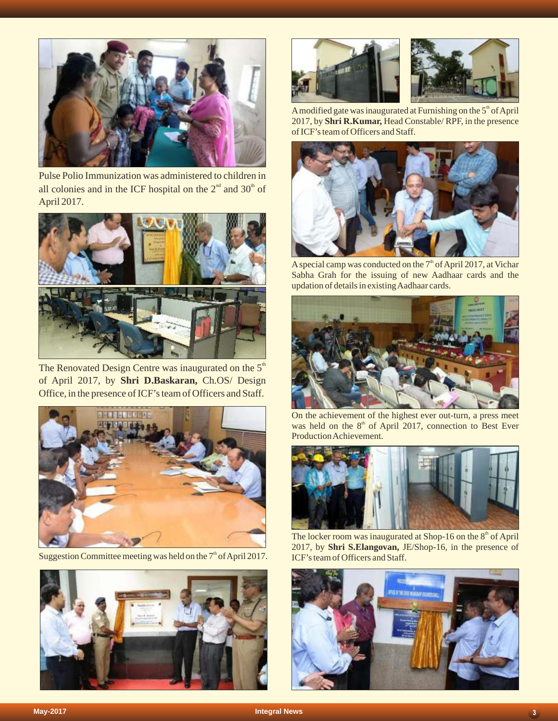

Pulse Polio Immunization was administered to children in all colonies and in the ICF hospital on the  $2<sup>nd</sup>$  and  $30<sup>th</sup>$  of April 2017.



The Renovated Design Centre was inaugurated on the  $5<sup>th</sup>$ of April 2017, by **Shri D.Baskaran,** Ch.OS/ Design Office, in the presence of ICF's team of Officers and Staff.



Suggestion Committee meeting was held on the  $7<sup>th</sup>$  of April 2017.





A modified gate was inaugurated at Furnishing on the  $5<sup>th</sup>$  of April 2017, by**Shri R.Kumar,** Head Constable/ RPF, in the presence of ICF's team of Officers and Staff.



A special camp was conducted on the  $7<sup>th</sup>$  of April 2017, at Vichar Sabha Grah for the issuing of new Aadhaar cards and the updation of details in existing Aadhaar cards.



On the achievement of the highest ever out-turn, a press meet was held on the  $8<sup>th</sup>$  of April 2017, connection to Best Ever Production Achievement.



The locker room was inaugurated at Shop-16 on the  $8<sup>th</sup>$  of April 2017, by **Shri S.Elangovan,** JE/Shop-16, in the presence of ICF's team of Officers and Staff.

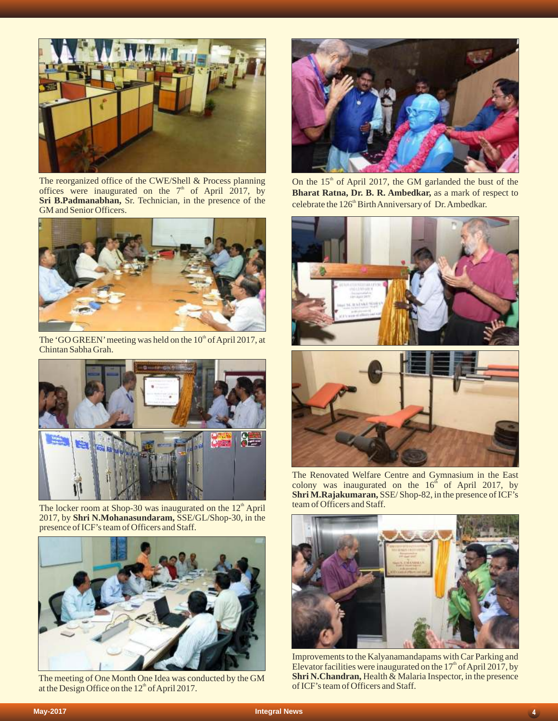

The reorganized office of the CWE/Shell & Process planning offices were inaugurated on the  $7<sup>th</sup>$  of April 2017, by **Sri B.Padmanabhan,** Sr. Technician, in the presence of the GM and Senior Officers.



The 'GO GREEN' meeting was held on the  $10<sup>th</sup>$  of April 2017, at Chintan Sabha Grah.



The locker room at Shop-30 was inaugurated on the  $12<sup>th</sup>$  April 2017, by **Shri N.Mohanasundaram,** SSE/GL/Shop-30, in the presence of ICF's team of Officers and Staff.



The meeting of One Month One Idea was conducted by the GM at the Design Office on the 12<sup>th</sup> of April 2017.



On the  $15<sup>th</sup>$  of April 2017, the GM garlanded the bust of the **Bharat Ratna, Dr. B. R. Ambedkar,** as a mark of respect to celebrate the 126<sup>th</sup> Birth Anniversary of Dr. Ambedkar.





The Renovated Welfare Centre and Gymnasium in the East colony was inaugurated on the  $16<sup>th</sup>$  of April 2017, by **Shri M.Rajakumaran,**SSE/ Shop-82, in the presence of ICF's team of Officers and Staff.



Improvements to the Kalyanamandapams with Car Parking and Elevator facilities were inaugurated on the  $17<sup>th</sup>$  of April 2017, by **Shri N.Chandran, Health & Malaria Inspector, in the presence** of ICF's team of Officers and Staff.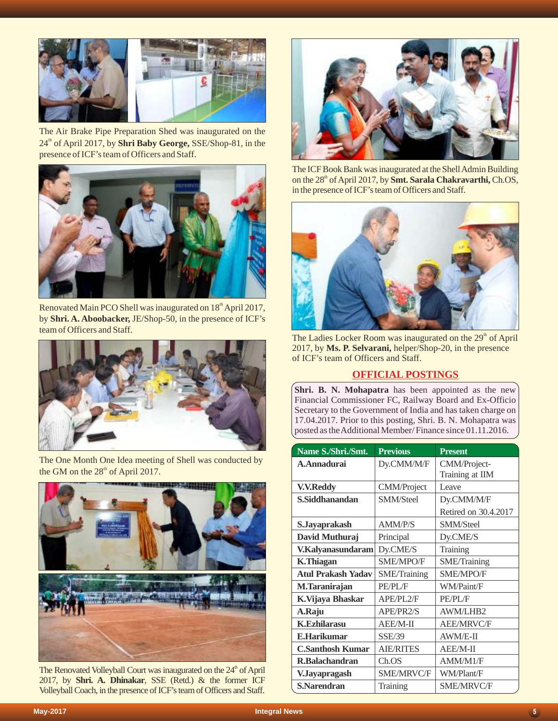

The Air Brake Pipe Preparation Shed was inaugurated on the 24<sup>th</sup> of April 2017, by **Shri Baby George, SSE/Shop-81**, in the presence of ICF's team of Officers and Staff.



Renovated Main PCO Shell was inaugurated on  $18<sup>th</sup>$  April 2017, by **Shri. A. Aboobacker,** JE/Shop-50, in the presence of ICF's team of Officers and Staff.



The One Month One Idea meeting of Shell was conducted by the GM on the  $28<sup>th</sup>$  of April 2017.



The Renovated Volleyball Court was inaugurated on the 24<sup>th</sup> of April 2017, by **Shri. A. Dhinakar**, SSE (Retd.) & the former ICF Volleyball Coach, in the presence of ICF's team of Officers and Staff.



The ICF Book Bank was inaugurated at the Shell Admin Building on the 28<sup>th</sup> of April 2017, by **Smt. Sarala Chakravarthi, Ch.OS,** in the presence of ICF's team of Officers and Staff.



The Ladies Locker Room was inaugurated on the 29<sup>th</sup> of April 2017, by **Ms. P. Selvarani,** helper/Shop-20, in the presence of ICF's team of Officers and Staff.

## **OFFICIAL POSTINGS**

**Shri. B. N. Mohapatra** has been appointed as the new Financial Commissioner FC, Railway Board and Ex-Officio Secretary to the Government of India and has taken charge on 17.04.2017. Prior to this posting, Shri. B. N. Mohapatra was posted as the Additional Member/ Finance since 01.11.2016.

| Name S./Shri./Smt.        | <b>Previous</b>    | <b>Present</b>       |  |
|---------------------------|--------------------|----------------------|--|
| A.Annadurai               | Dy.CMM/M/F         | CMM/Project-         |  |
|                           |                    | Training at IIM      |  |
| <b>V.V.Reddy</b>          | <b>CMM/Project</b> | Leave                |  |
| S.Siddhanandan            | <b>SMM/Steel</b>   | Dy.CMM/M/F           |  |
|                           |                    | Retired on 30.4.2017 |  |
| S.Jayaprakash             | <b>AMM/P/S</b>     | <b>SMM/Steel</b>     |  |
| David Muthuraj            | Principal          | Dy.CME/S             |  |
| V.Kalyanasundaram         | Dy.CME/S           | Training             |  |
| <b>K.Thiagan</b>          | <b>SME/MPO/F</b>   | <b>SME/Training</b>  |  |
| <b>Atul Prakash Yadav</b> | SME/Training       | <b>SME/MPO/F</b>     |  |
| M.Taranirajan             | PE/PL/F            | WM/Paint/F           |  |
| K.Vijaya Bhaskar          | APE/PL2/F          | PE/PL/F              |  |
| A.Raju                    | APE/PR2/S          | <b>AWM/LHB2</b>      |  |
| <b>K.Ezhilarasu</b>       | AEE/M-II           | <b>AEE/MRVC/F</b>    |  |
| <b>E.Harikumar</b>        | <b>SSE/39</b>      | AWM/E-II             |  |
| <b>C.Santhosh Kumar</b>   | <b>AIE/RITES</b>   | AEE/M-II             |  |
| R.Balachandran            | Ch.OS              | AMM/M1/F             |  |
| V.Jayapragash             | <b>SME/MRVC/F</b>  | WM/Plant/F           |  |
| S.Narendran               | Training           | <b>SME/MRVC/F</b>    |  |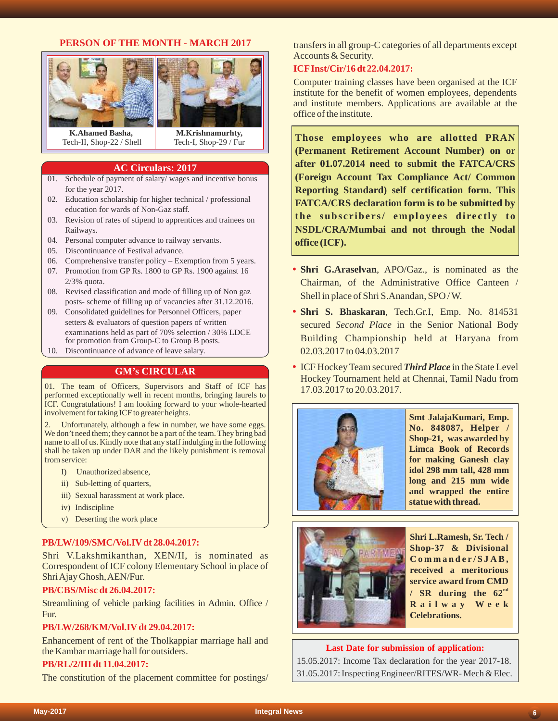## **PERSON OF THE MONTH - MARCH 2017**



**AC Circulars: 2017**

- 01. Schedule of payment of salary/ wages and incentive bonus for the year 2017.
- 02. Education scholarship for higher technical / professional education for wards of Non-Gaz staff.
- 03. Revision of rates of stipend to apprentices and trainees on Railways.
- 04. Personal computer advance to railway servants.
- 05. Discontinuance of Festival advance.
- 06. Comprehensive transfer policy Exemption from 5 years.
- 07. Promotion from GP Rs. 1800 to GP Rs. 1900 against 16 2/3% quota.
- 08. Revised classification and mode of filling up of Non gaz posts- scheme of filling up of vacancies after 31.12.2016.
- 09. Consolidated guidelines for Personnel Officers, paper setters & evaluators of question papers of written examinations held as part of 70% selection / 30% LDCE for promotion from Group-C to Group B posts.
- 10. Discontinuance of advance of leave salary.

## **GM's CIRCULAR**

01. The team of Officers, Supervisors and Staff of ICF has performed exceptionally well in recent months, bringing laurels to ICF. Congratulations! I am looking forward to your whole-hearted involvement for taking ICF to greater heights.

Unfortunately, although a few in number, we have some eggs. We don't need them; they cannot be a part of the team. They bring bad name to all of us. Kindly note that any staff indulging in the following shall be taken up under DAR and the likely punishment is removal from service:

- I) Unauthorized absence,
- ii) Sub-letting of quarters,
- iii) Sexual harassment at work place.
- iv) Indiscipline
- v) Deserting the work place

#### **PB/LW/109/SMC/Vol.IVdt 28.04.2017:**

Shri V.Lakshmikanthan, XEN/II, is nominated as Correspondent of ICF colony Elementary School in place of Shri Ajay Ghosh, AEN/Fur.

#### **PB/CBS/Misc dt 26.04.2017:**

Streamlining of vehicle parking facilities in Admin. Office / Fur.

#### **PB/LW/268/KM/Vol.IVdt 29.04.2017:**

Enhancement of rent of the Tholkappiar marriage hall and the Kambar marriage hall for outsiders.

#### **PB/RL/2/III dt 11.04.2017:**

The constitution of the placement committee for postings/

transfers in all group-C categories of all departments except Accounts & Security.

#### **ICFInst/Cir/16 dt 22.04.2017:**

Computer training classes have been organised at the ICF institute for the benefit of women employees, dependents and institute members. Applications are available at the office of the institute.

**Those employees who are allotted PRAN (Permanent Retirement Account Number) on or after 01.07.2014 need to submit the FATCA/CRS (Foreign Account Tax Compliance Act/ Common Reporting Standard) self certification form. This FATCA/CRS declaration form is to be submitted by the subs c r ibe r s/ employe e s di re c tly to NSDL/CRA/Mumbai and not through the Nodal office (ICF).**

- Shri G.Araselvan, APO/Gaz., is nominated as the Chairman, of the Administrative Office Canteen / Shell in place of Shri S.Anandan, SPO / W.
- Shri S. Bhaskaran, Tech.Gr.I, Emp. No. 814531 secured *Second Place* in the Senior National Body Building Championship held at Haryana from 02.03.2017 to 04.03.2017
- ICF Hockey Team secured **Third Place** in the State Level Hockey Tournament held at Chennai, Tamil Nadu from 17.03.2017 to 20.03.2017.



**Smt JalajaKumari, Emp. No. 848087, Helper / Shop-21, was awarded by Limca Book of Records for making Ganesh clay idol 298 mm tall, 428 mm long and 215 mm wide and wrapped the entire statue with thread.**



**Shri L.Ramesh, Sr. Tech / Shop-37 & Divisional C o m m ande r /SJ A B , received a meritorious service award from CMD**   $/$  **SR** during the  $62^{nd}$ **R a i l w a y W e e k Celebrations.**

#### **Last Date for submission of application:**

15.05.2017: Income Tax declaration for the year 2017-18. 31.05.2017: Inspecting Engineer/RITES/WR- Mech & Elec.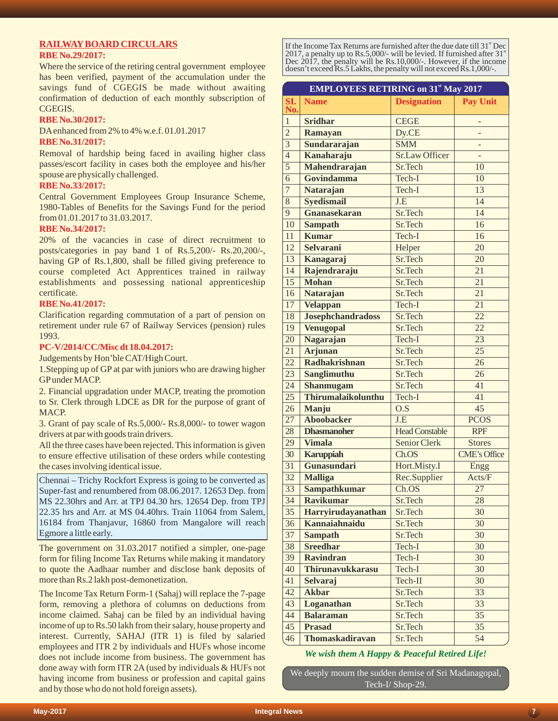## **RAILWAYBOARD CIRCULARS**

#### **RBE No.29/2017:**

Where the service of the retiring central government employee has been verified, payment of the accumulation under the savings fund of CGEGIS be made without awaiting confirmation of deduction of each monthly subscription of CGEGIS.

#### **RBE No.30/2017:**

DAenhanced from 2% to 4% w.e.f. 01.01.2017

#### **RBE No.31/2017:**

Removal of hardship being faced in availing higher class passes/escort facility in cases both the employee and his/her spouse are physically challenged.

#### **RBE No.33/2017:**

Central Government Employees Group Insurance Scheme, 1980-Tables of Benefits for the Savings Fund for the period from 01.01.2017 to 31.03.2017.

#### **RBE No.34/2017:**

20% of the vacancies in case of direct recruitment to posts/categories in pay band 1 of Rs.5,200/- Rs.20,200/-, having GP of Rs.1,800, shall be filled giving preference to course completed Act Apprentices trained in railway establishments and possessing national apprenticeship certificate.

#### **RBE No.41/2017:**

Clarification regarding commutation of a part of pension on retirement under rule 67 of Railway Services (pension) rules 1993.

#### **PC-V/2014/CC/Misc dt 18.04.2017:**

Judgements by Hon'ble CAT/High Court.

1.Stepping up of GPat par with juniors who are drawing higher GPunder MACP.

2. Financial upgradation under MACP, treating the promotion to Sr. Clerk through LDCE as DR for the purpose of grant of MACP.

3. Grant of pay scale of Rs.5,000/- Rs.8,000/- to tower wagon drivers at par with goods train drivers.

All the three cases have been rejected. This information is given to ensure effective utilisation of these orders while contesting the cases involving identical issue.

Chennai – Trichy Rockfort Express is going to be converted as Super-fast and renumbered from 08.06.2017. 12653 Dep. from MS 22.30hrs and Arr. at TPJ 04.30 hrs. 12654 Dep. from TPJ 22.35 hrs and Arr. at MS 04.40hrs. Train 11064 from Salem, 16184 from Thanjavur, 16860 from Mangalore will reach Egmore a little early.

The government on 31.03.2017 notified a simpler, one-page form for filing Income Tax Returns while making it mandatory to quote the Aadhaar number and disclose bank deposits of more than Rs.2 lakh post-demonetization.

The Income Tax Return Form-1 (Sahaj) will replace the 7-page form, removing a plethora of columns on deductions from income claimed. Sahaj can be filed by an individual having income of up to Rs.50 lakh from their salary, house property and interest. Currently, SAHAJ (ITR 1) is filed by salaried employees and ITR 2 by individuals and HUFs whose income does not include income from business. The government has done away with form ITR 2A (used by individuals & HUFs not having income from business or profession and capital gains and by those who do not hold foreign assets).

If the Income Tax Returns are furnished after the due date till 31<sup>st</sup> Dec 2017, a penalty up to Rs.5,000/- will be levied. If furnished after  $31<sup>{st}</sup>$ Dec 2017, the penalty will be Rs.10,000/-. However, if the income doesn't exceed Rs.5 Lakhs, the penalty will not exceed Rs.1,000/-.

|                 | <b>EMPLOYEES RETIRING on 31st May 2017</b> |                       |                     |
|-----------------|--------------------------------------------|-----------------------|---------------------|
| SI.<br>No.      | <b>Name</b>                                | <b>Designation</b>    | <b>Pay Unit</b>     |
| $\mathbf{1}$    | <b>Sridhar</b>                             | <b>CEGE</b>           |                     |
| $\overline{2}$  | Ramayan                                    | Dy.CE                 |                     |
| $\overline{3}$  | Sundararajan                               | <b>SMM</b>            |                     |
| $\overline{4}$  | Kanaharaju                                 | <b>Sr.Law Officer</b> |                     |
| $\overline{5}$  | Mahendrarajan                              | Sr.Tech               | 10                  |
| 6               | Govindamma                                 | Tech-I                | 10                  |
| $\overline{7}$  | <b>Natarajan</b>                           | Tech-I                | 13                  |
| $\overline{8}$  | <b>Syedismail</b>                          | J.E                   | $\overline{14}$     |
| $\overline{9}$  | Gnanasekaran                               | Sr.Tech               | 14                  |
| 10              | <b>Sampath</b>                             | Sr.Tech               | 16                  |
| 11              | <b>Kumar</b>                               | Tech-I                | 16                  |
| 12              | <b>Selvarani</b>                           | Helper                | 20                  |
| 13              | Kanagaraj                                  | Sr.Tech               | 20                  |
| 14              | Rajendraraju                               | Sr.Tech               | 21                  |
| $\overline{15}$ | <b>Mohan</b>                               | Sr.Tech               | $\overline{21}$     |
| 16              | <b>Natarajan</b>                           | Sr.Tech               | 21                  |
| 17              | <b>Velappan</b>                            | Tech-I                | $\overline{21}$     |
| 18              | <b>Josephchandradoss</b>                   | Sr.Tech               | $\overline{22}$     |
| 19              | <b>Venugopal</b>                           | Sr.Tech               | 22                  |
| $\overline{20}$ | Nagarajan                                  | Tech-I                | 23                  |
| 21              | <b>Arjunan</b>                             | Sr.Tech               | 25                  |
| 22              | <b>Radhakrishnan</b>                       | Sr.Tech               | 26                  |
| 23              | Sanglimuthu                                | Sr.Tech               | 26                  |
| 24              | Shanmugam                                  | Sr.Tech               | 41                  |
| $\overline{25}$ | <b>Thirumalaikolunthu</b>                  | Tech-I                | 41                  |
| 26              | Manju                                      | O.S                   | 45                  |
| $\overline{27}$ | <b>Aboobacker</b>                          | J.E                   | <b>PCOS</b>         |
| 28              | <b>Dhasmanoher</b>                         | <b>Head Constable</b> | <b>RPF</b>          |
| 29              | <b>Vimala</b>                              | Senior Clerk          | <b>Stores</b>       |
| 30              | <b>Karuppiah</b>                           | Ch.OS                 | <b>CME's Office</b> |
| $\overline{31}$ | Gunasundari                                | Hort.Misty.I          | Engg                |
| 32              | <b>Malliga</b>                             | Rec.Supplier          | Acts/F              |
| $\overline{33}$ | <b>Sampathkumar</b>                        | Ch.OS                 | 27                  |
| 34              | <b>Ravikumar</b>                           | Sr.Tech               | 28                  |
| 35              | Harryirudayanathan                         | Sr.Tech               | 30                  |
| 36              | Kannaiahnaidu                              | Sr.Tech               | 30                  |
| 37              | <b>Sampath</b><br><b>Sreedhar</b>          | Sr.Tech               | 30                  |
| 38              |                                            | Tech-I                | 30                  |
| 39              | <b>Ravindran</b>                           | Tech-I                | 30                  |
| 40              | Thirunavukkarasu                           | Tech-I                | 30                  |
| 41              | <b>Selvaraj</b>                            | Tech-II               | 30                  |
| 42              | <b>Akbar</b>                               | Sr.Tech               | 33                  |
| 43              | Loganathan                                 | Sr.Tech               | 33                  |
| 44              | <b>Balaraman</b>                           | Sr.Tech               | 35                  |
| 45              | <b>Prasad</b>                              | Sr.Tech               | 35                  |
| 46              | Thomaskadiravan                            | Sr.Tech               | 54                  |

#### *We wish them A Happy & Peaceful Retired Life!*

We deeply mourn the sudden demise of Sri Madanagopal, Tech-I/ Shop-29.